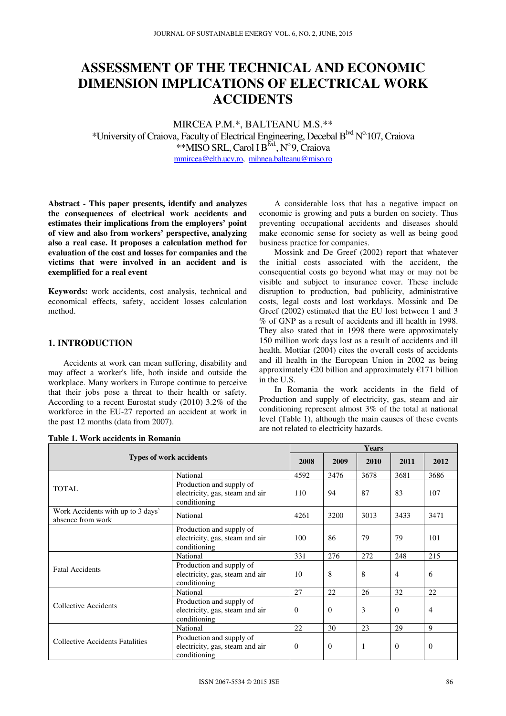# **ASSESSMENT OF THE TECHNICAL AND ECONOMIC DIMENSION IMPLICATIONS OF ELECTRICAL WORK ACCIDENTS**

MIRCEA P.M.\*, BALTEANU M.S.\*\* \*University of Craiova, Faculty of Electrical Engineering, Decebal B<sup>lvd</sup> N<sup>o.</sup>107, Craiova \*\*MISO SRL, Carol I B<sup>lvd</sup>, N°9, Craiova mmircea@elth.ucv.ro, mihnea.balteanu@miso.ro

**Abstract - This paper presents, identify and analyzes the consequences of electrical work accidents and estimates their implications from the employers' point of view and also from workers' perspective, analyzing also a real case. It proposes a calculation method for evaluation of the cost and losses for companies and the victims that were involved in an accident and is exemplified for a real event** 

**Keywords:** work accidents, cost analysis, technical and economical effects, safety, accident losses calculation method.

#### **1. INTRODUCTION**

Accidents at work can mean suffering, disability and may affect a worker's life, both inside and outside the workplace. Many workers in Europe continue to perceive that their jobs pose a threat to their health or safety. According to a recent Eurostat study (2010) 3.2% of the workforce in the EU-27 reported an accident at work in the past 12 months (data from 2007).

| <b>Types of work accidents</b>                         |                                                                             | Years        |          |      |                |                |
|--------------------------------------------------------|-----------------------------------------------------------------------------|--------------|----------|------|----------------|----------------|
|                                                        |                                                                             | 2008         | 2009     | 2010 | 2011           | 2012           |
|                                                        | National                                                                    | 4592         | 3476     | 3678 | 3681           | 3686           |
| <b>TOTAL</b>                                           | Production and supply of<br>electricity, gas, steam and air<br>conditioning | 110          | 94       | 87   | 83             | 107            |
| Work Accidents with up to 3 days'<br>absence from work | National                                                                    |              | 3200     | 3013 | 3433           | 3471           |
|                                                        | Production and supply of<br>electricity, gas, steam and air<br>conditioning | 100          | 86       | 79   | 79             | 101            |
| <b>Fatal Accidents</b>                                 | National                                                                    | 331          | 276      | 272  | 248            | 215            |
|                                                        | Production and supply of<br>electricity, gas, steam and air<br>conditioning | 10           | 8        | 8    | $\overline{4}$ | 6              |
| Collective Accidents                                   | National                                                                    | 27           | 22       | 26   | 32             | 22             |
|                                                        | Production and supply of<br>electricity, gas, steam and air<br>conditioning | $\mathbf{0}$ | $\theta$ | 3    | $\theta$       | $\overline{4}$ |
|                                                        | National                                                                    | 22           | 30       | 23   | 29             | 9              |
| <b>Collective Accidents Fatalities</b>                 | Production and supply of<br>electricity, gas, steam and air<br>conditioning | $\theta$     | $\Omega$ | 1    | $\theta$       | $\Omega$       |

**Table 1. Work accidents in Romania**

A considerable loss that has a negative impact on economic is growing and puts a burden on society. Thus

preventing occupational accidents and diseases should make economic sense for society as well as being good business practice for companies. Mossink and De Greef (2002) report that whatever

the initial costs associated with the accident, the consequential costs go beyond what may or may not be visible and subject to insurance cover. These include disruption to production, bad publicity, administrative costs, legal costs and lost workdays. Mossink and De Greef (2002) estimated that the EU lost between 1 and 3 % of GNP as a result of accidents and ill health in 1998. They also stated that in 1998 there were approximately 150 million work days lost as a result of accidents and ill health. Mottiar (2004) cites the overall costs of accidents and ill health in the European Union in 2002 as being approximately  $\epsilon$ 20 billion and approximately  $\epsilon$ 171 billion in the U.S.

In Romania the work accidents in the field of Production and supply of electricity, gas, steam and air conditioning represent almost 3% of the total at national level (Table 1), although the main causes of these events are not related to electricity hazards.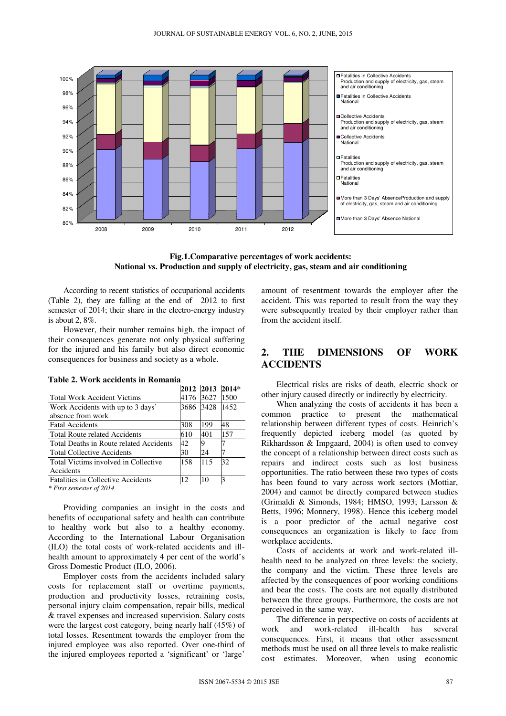

**Fig.1.Comparative percentages of work accidents: National vs. Production and supply of electricity, gas, steam and air conditioning** 

According to recent statistics of occupational accidents (Table 2), they are falling at the end of 2012 to first semester of 2014; their share in the electro-energy industry is about 2, 8%.

However, their number remains high, the impact of their consequences generate not only physical suffering for the injured and his family but also direct economic consequences for business and society as a whole.

|                                           | 2012 2013 |      | $2014*$ |
|-------------------------------------------|-----------|------|---------|
| <b>Total Work Accident Victims</b>        | 4176      | 3627 | 1500    |
| Work Accidents with up to 3 days'         |           | 3428 | 1452    |
| absence from work                         |           |      |         |
| <b>Fatal Accidents</b>                    | 308       | 199  | 48      |
| <b>Total Route related Accidents</b>      | 610       | 401  | 157     |
| Total Deaths in Route related Accidents   | 42        | Q    |         |
| <b>Total Collective Accidents</b>         | 30        | 24   |         |
| Total Victims involved in Collective      | 158       | 115  | 32      |
| Accidents                                 |           |      |         |
| <b>Fatalities in Collective Accidents</b> | 12        | 10   | 3       |
|                                           |           |      |         |

|  |  | Table 2. Work accidents in Romania |  |  |
|--|--|------------------------------------|--|--|
|--|--|------------------------------------|--|--|

*\* First semester of 2014*

Providing companies an insight in the costs and benefits of occupational safety and health can contribute to healthy work but also to a healthy economy. According to the International Labour Organisation (ILO) the total costs of work-related accidents and illhealth amount to approximately 4 per cent of the world's Gross Domestic Product (ILO, 2006).

Employer costs from the accidents included salary costs for replacement staff or overtime payments, production and productivity losses, retraining costs, personal injury claim compensation, repair bills, medical & travel expenses and increased supervision. Salary costs were the largest cost category, being nearly half (45%) of total losses. Resentment towards the employer from the injured employee was also reported. Over one-third of the injured employees reported a 'significant' or 'large'

amount of resentment towards the employer after the accident. This was reported to result from the way they were subsequently treated by their employer rather than from the accident itself.

## **2. THE DIMENSIONS OF WORK ACCIDENTS**

Electrical risks are risks of death, electric shock or other injury caused directly or indirectly by electricity.

When analyzing the costs of accidents it has been a common practice to present the mathematical relationship between different types of costs. Heinrich's frequently depicted iceberg model (as quoted by Rikhardsson & Impgaard, 2004) is often used to convey the concept of a relationship between direct costs such as repairs and indirect costs such as lost business opportunities. The ratio between these two types of costs has been found to vary across work sectors (Mottiar, 2004) and cannot be directly compared between studies (Grimaldi & Simonds, 1984; HMSO, 1993; Larsson & Betts, 1996; Monnery, 1998). Hence this iceberg model is a poor predictor of the actual negative cost consequences an organization is likely to face from workplace accidents.

Costs of accidents at work and work-related illhealth need to be analyzed on three levels: the society, the company and the victim. These three levels are affected by the consequences of poor working conditions and bear the costs. The costs are not equally distributed between the three groups. Furthermore, the costs are not perceived in the same way.

The difference in perspective on costs of accidents at work and work-related ill-health has several consequences. First, it means that other assessment methods must be used on all three levels to make realistic cost estimates. Moreover, when using economic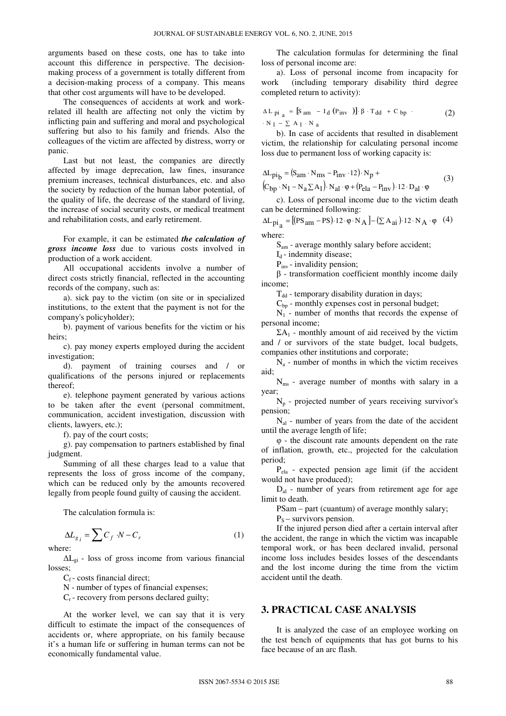arguments based on these costs, one has to take into account this difference in perspective. The decisionmaking process of a government is totally different from a decision-making process of a company. This means that other cost arguments will have to be developed.

The consequences of accidents at work and workrelated ill health are affecting not only the victim by inflicting pain and suffering and moral and psychological suffering but also to his family and friends. Also the colleagues of the victim are affected by distress, worry or panic.

Last but not least, the companies are directly affected by image deprecation, law fines, insurance premium increases, technical disturbances, etc. and also the society by reduction of the human labor potential, of the quality of life, the decrease of the standard of living, the increase of social security costs, or medical treatment and rehabilitation costs, and early retirement.

For example, it can be estimated *the calculation of gross income loss* due to various costs involved in production of a work accident.

All occupational accidents involve a number of direct costs strictly financial, reflected in the accounting records of the company, such as:

a). sick pay to the victim (on site or in specialized institutions, to the extent that the payment is not for the company's policyholder);

b). payment of various benefits for the victim or his heirs;

c). pay money experts employed during the accident investigation;

d). payment of training courses and / or qualifications of the persons injured or replacements thereof;

e). telephone payment generated by various actions to be taken after the event (personal commitment, communication, accident investigation, discussion with clients, lawyers, etc.);

f). pay of the court costs;

g). pay compensation to partners established by final judgment.

Summing of all these charges lead to a value that represents the loss of gross income of the company, which can be reduced only by the amounts recovered legally from people found guilty of causing the accident.

The calculation formula is:

$$
\Delta L_{g_i} = \sum C_f \cdot N - C_r \tag{1}
$$

where:

 $\Delta L_{gi}$  - loss of gross income from various financial losses;

 $C_f$  - costs financial direct;

N - number of types of financial expenses;

 $C_r$  - recovery from persons declared guilty;

At the worker level, we can say that it is very difficult to estimate the impact of the consequences of accidents or, where appropriate, on his family because it's a human life or suffering in human terms can not be economically fundamental value.

The calculation formulas for determining the final loss of personal income are:

a). Loss of personal income from incapacity for work (including temporary disability third degree completed return to activity):

$$
\Delta L_{pi} = [S_{am} - I_d (P_{inv})] \cdot \beta \cdot T_{dd} + C_{bp}
$$
  
. N<sub>1</sub> -  $\Sigma$  A<sub>1</sub> · N<sub>a</sub> (2)

b). In case of accidents that resulted in disablement victim, the relationship for calculating personal income loss due to permanent loss of working capacity is:

$$
\Delta L_{\text{pi}_b} = (S_{\text{am}} \cdot N_{\text{ms}} - P_{\text{inv}} \cdot 12) \cdot N_p +
$$
  
\n
$$
(C_{\text{bp}} \cdot N_1 - N_a \sum A_1) \cdot N_{\text{al}} \cdot \varphi + (P_{\text{ela}} - P_{\text{inv}}) \cdot 12 \cdot D_{\text{al}} \cdot \varphi
$$
 (3)

c). Loss of personal income due to the victim death can be determined following:

 $\Delta L_{\text{pi}_a} = [(PS_{am} - PS) \cdot 12 \cdot \varphi \cdot N_A] - (\Sigma A_{ai}) \cdot 12 \cdot N_A \cdot \varphi$  (4) where:

S<sub>am</sub> - average monthly salary before accident;

 $I_d$  - indemnity disease;

 $P_{inv}$  - invalidity pension;

 $\beta$  - transformation coefficient monthly income daily income;

 $T_{dd}$  - temporary disability duration in days;

 $C<sub>bn</sub>$  - monthly expenses cost in personal budget;

 $N_1$  - number of months that records the expense of personal income;

 $\Sigma A_1$  - monthly amount of aid received by the victim and / or survivors of the state budget, local budgets, companies other institutions and corporate;

 $N_a$  - number of months in which the victim receives aid;

Nms - average number of months with salary in a year;

 $N_p$  - projected number of years receiving survivor's pension;

 $N<sub>al</sub>$  - number of years from the date of the accident until the average length of life;

φ - the discount rate amounts dependent on the rate of inflation, growth, etc., projected for the calculation period;

 $P_{ela}$  - expected pension age limit (if the accident would not have produced);

 $D<sub>al</sub>$  - number of years from retirement age for age limit to death.

PSam – part (cuantum) of average monthly salary;

 $P_s$  – survivors pension.

If the injured person died after a certain interval after the accident, the range in which the victim was incapable temporal work, or has been declared invalid, personal income loss includes besides losses of the descendants and the lost income during the time from the victim accident until the death.

### **3. PRACTICAL CASE ANALYSIS**

It is analyzed the case of an employee working on the test bench of equipments that has got burns to his face because of an arc flash.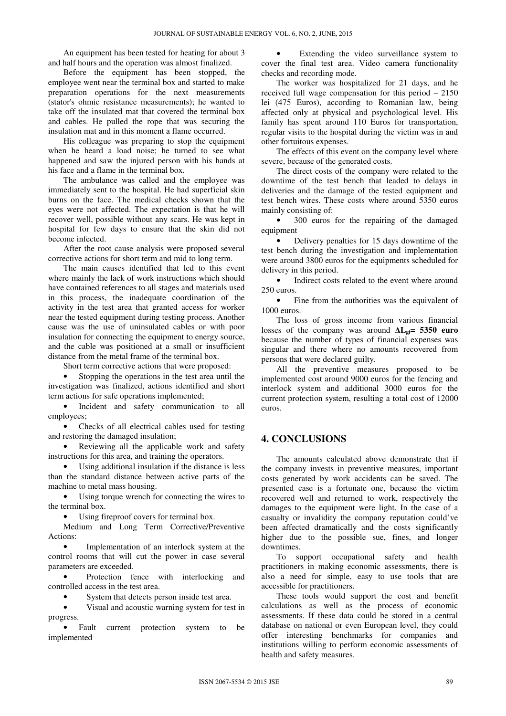An equipment has been tested for heating for about 3 and half hours and the operation was almost finalized.

Before the equipment has been stopped, the employee went near the terminal box and started to make preparation operations for the next measurements (stator's ohmic resistance measurements); he wanted to take off the insulated mat that covered the terminal box and cables. He pulled the rope that was securing the insulation mat and in this moment a flame occurred.

His colleague was preparing to stop the equipment when he heard a load noise; he turned to see what happened and saw the injured person with his hands at his face and a flame in the terminal box.

The ambulance was called and the employee was immediately sent to the hospital. He had superficial skin burns on the face. The medical checks shown that the eyes were not affected. The expectation is that he will recover well, possible without any scars. He was kept in hospital for few days to ensure that the skin did not become infected.

After the root cause analysis were proposed several corrective actions for short term and mid to long term.

The main causes identified that led to this event where mainly the lack of work instructions which should have contained references to all stages and materials used in this process, the inadequate coordination of the activity in the test area that granted access for worker near the tested equipment during testing process. Another cause was the use of uninsulated cables or with poor insulation for connecting the equipment to energy source, and the cable was positioned at a small or insufficient distance from the metal frame of the terminal box.

Short term corrective actions that were proposed:

Stopping the operations in the test area until the investigation was finalized, actions identified and short term actions for safe operations implemented;

• Incident and safety communication to all employees;

• Checks of all electrical cables used for testing and restoring the damaged insulation;

• Reviewing all the applicable work and safety instructions for this area, and training the operators.

• Using additional insulation if the distance is less than the standard distance between active parts of the machine to metal mass housing.

• Using torque wrench for connecting the wires to the terminal box.

• Using fireproof covers for terminal box.

Medium and Long Term Corrective/Preventive Actions:

• Implementation of an interlock system at the control rooms that will cut the power in case several parameters are exceeded.

Protection fence with interlocking and controlled access in the test area.

System that detects person inside test area.

• Visual and acoustic warning system for test in progress.

• Fault current protection system to be implemented

• Extending the video surveillance system to cover the final test area. Video camera functionality checks and recording mode.

The worker was hospitalized for 21 days, and he received full wage compensation for this period – 2150 lei (475 Euros), according to Romanian law, being affected only at physical and psychological level. His family has spent around 110 Euros for transportation, regular visits to the hospital during the victim was in and other fortuitous expenses.

The effects of this event on the company level where severe, because of the generated costs.

The direct costs of the company were related to the downtime of the test bench that leaded to delays in deliveries and the damage of the tested equipment and test bench wires. These costs where around 5350 euros mainly consisting of:

• 300 euros for the repairing of the damaged equipment

• Delivery penalties for 15 days downtime of the test bench during the investigation and implementation were around 3800 euros for the equipments scheduled for delivery in this period.

• Indirect costs related to the event where around 250 euros.

• Fine from the authorities was the equivalent of 1000 euros.

The loss of gross income from various financial losses of the company was around **∆Lgi= 5350 euro** because the number of types of financial expenses was singular and there where no amounts recovered from persons that were declared guilty.

All the preventive measures proposed to be implemented cost around 9000 euros for the fencing and interlock system and additional 3000 euros for the current protection system, resulting a total cost of 12000 euros.

# **4. CONCLUSIONS**

The amounts calculated above demonstrate that if the company invests in preventive measures, important costs generated by work accidents can be saved. The presented case is a fortunate one, because the victim recovered well and returned to work, respectively the damages to the equipment were light. In the case of a casualty or invalidity the company reputation could've been affected dramatically and the costs significantly higher due to the possible sue, fines, and longer downtimes.

To support occupational safety and health practitioners in making economic assessments, there is also a need for simple, easy to use tools that are accessible for practitioners.

These tools would support the cost and benefit calculations as well as the process of economic assessments. If these data could be stored in a central database on national or even European level, they could offer interesting benchmarks for companies and institutions willing to perform economic assessments of health and safety measures.